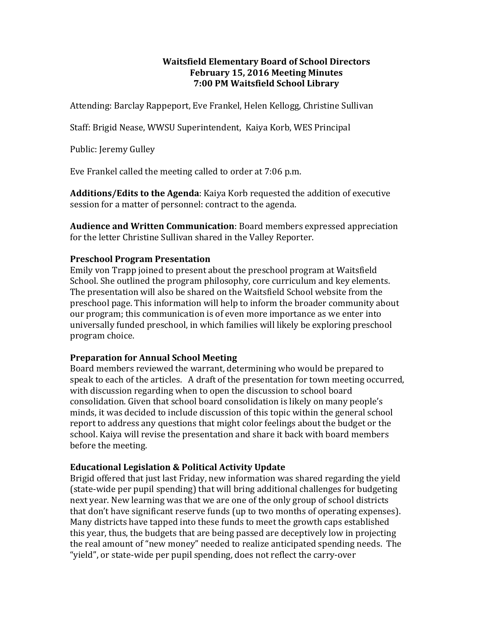#### **Waitsfield Elementary Board of School Directors February 15, 2016 Meeting Minutes 7:00 PM Waitsfield School Library**

Attending: Barclay Rappeport, Eve Frankel, Helen Kellogg, Christine Sullivan

Staff: Brigid Nease, WWSU Superintendent, Kaiya Korb, WES Principal

Public: Jeremy Gulley

Eve Frankel called the meeting called to order at 7:06 p.m.

**Additions/Edits to the Agenda:** Kaiya Korb requested the addition of executive session for a matter of personnel: contract to the agenda.

**Audience and Written Communication**: Board members expressed appreciation for the letter Christine Sullivan shared in the Valley Reporter.

### **Preschool Program Presentation**

Emily von Trapp joined to present about the preschool program at Waitsfield School. She outlined the program philosophy, core curriculum and key elements. The presentation will also be shared on the Waitsfield School website from the preschool page. This information will help to inform the broader community about our program; this communication is of even more importance as we enter into universally funded preschool, in which families will likely be exploring preschool program choice. 

#### **Preparation for Annual School Meeting**

Board members reviewed the warrant, determining who would be prepared to speak to each of the articles. A draft of the presentation for town meeting occurred, with discussion regarding when to open the discussion to school board consolidation. Given that school board consolidation is likely on many people's minds, it was decided to include discussion of this topic within the general school report to address any questions that might color feelings about the budget or the school. Kaiya will revise the presentation and share it back with board members before the meeting.

# **Educational Legislation & Political Activity Update**

Brigid offered that just last Friday, new information was shared regarding the yield (state-wide per pupil spending) that will bring additional challenges for budgeting next year. New learning was that we are one of the only group of school districts that don't have significant reserve funds (up to two months of operating expenses). Many districts have tapped into these funds to meet the growth caps established this year, thus, the budgets that are being passed are deceptively low in projecting the real amount of "new money" needed to realize anticipated spending needs. The "yield", or state-wide per pupil spending, does not reflect the carry-over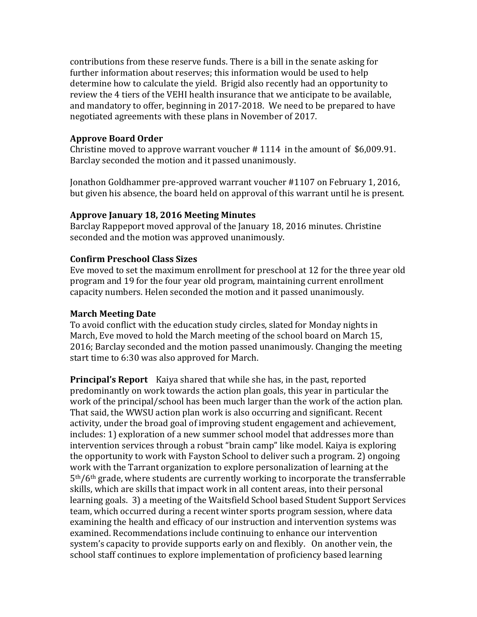contributions from these reserve funds. There is a bill in the senate asking for further information about reserves; this information would be used to help determine how to calculate the yield. Brigid also recently had an opportunity to review the 4 tiers of the VEHI health insurance that we anticipate to be available, and mandatory to offer, beginning in 2017-2018. We need to be prepared to have negotiated agreements with these plans in November of 2017.

# **Approve Board Order**

Christine moved to approve warrant voucher  $\#$  1114 in the amount of \$6,009.91. Barclay seconded the motion and it passed unanimously.

Jonathon Goldhammer pre-approved warrant voucher #1107 on February 1, 2016, but given his absence, the board held on approval of this warrant until he is present.

### **Approve January 18, 2016 Meeting Minutes**

Barclay Rappeport moved approval of the January 18, 2016 minutes. Christine seconded and the motion was approved unanimously.

### **Confirm Preschool Class Sizes**

Eve moved to set the maximum enrollment for preschool at 12 for the three year old program and 19 for the four year old program, maintaining current enrollment capacity numbers. Helen seconded the motion and it passed unanimously.

## **March Meeting Date**

To avoid conflict with the education study circles, slated for Monday nights in March, Eve moved to hold the March meeting of the school board on March 15, 2016; Barclay seconded and the motion passed unanimously. Changing the meeting start time to 6:30 was also approved for March.

**Principal's Report** Kaiya shared that while she has, in the past, reported predominantly on work towards the action plan goals, this year in particular the work of the principal/school has been much larger than the work of the action plan. That said, the WWSU action plan work is also occurring and significant. Recent activity, under the broad goal of improving student engagement and achievement, includes: 1) exploration of a new summer school model that addresses more than intervention services through a robust "brain camp" like model. Kaiya is exploring the opportunity to work with Fayston School to deliver such a program. 2) ongoing work with the Tarrant organization to explore personalization of learning at the  $5<sup>th</sup>/6<sup>th</sup>$  grade, where students are currently working to incorporate the transferrable skills, which are skills that impact work in all content areas, into their personal learning goals. 3) a meeting of the Waitsfield School based Student Support Services team, which occurred during a recent winter sports program session, where data examining the health and efficacy of our instruction and intervention systems was examined. Recommendations include continuing to enhance our intervention system's capacity to provide supports early on and flexibly. On another vein, the school staff continues to explore implementation of proficiency based learning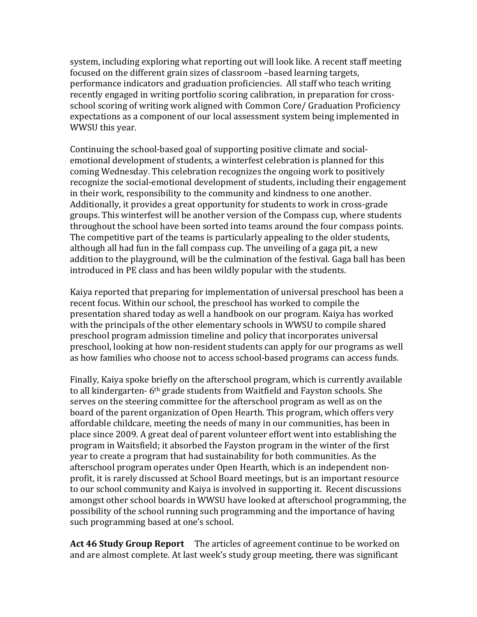system, including exploring what reporting out will look like. A recent staff meeting focused on the different grain sizes of classroom –based learning targets, performance indicators and graduation proficiencies. All staff who teach writing recently engaged in writing portfolio scoring calibration, in preparation for crossschool scoring of writing work aligned with Common Core/ Graduation Proficiency expectations as a component of our local assessment system being implemented in WWSU this year.

Continuing the school-based goal of supporting positive climate and socialemotional development of students, a winterfest celebration is planned for this coming Wednesday. This celebration recognizes the ongoing work to positively recognize the social-emotional development of students, including their engagement in their work, responsibility to the community and kindness to one another. Additionally, it provides a great opportunity for students to work in cross-grade groups. This winterfest will be another version of the Compass cup, where students throughout the school have been sorted into teams around the four compass points. The competitive part of the teams is particularly appealing to the older students, although all had fun in the fall compass cup. The unveiling of a gaga pit, a new addition to the playground, will be the culmination of the festival. Gaga ball has been introduced in PE class and has been wildly popular with the students.

Kaiya reported that preparing for implementation of universal preschool has been a recent focus. Within our school, the preschool has worked to compile the presentation shared today as well a handbook on our program. Kaiya has worked with the principals of the other elementary schools in WWSU to compile shared preschool program admission timeline and policy that incorporates universal preschool, looking at how non-resident students can apply for our programs as well as how families who choose not to access school-based programs can access funds.

Finally, Kaiya spoke briefly on the afterschool program, which is currently available to all kindergarten- 6<sup>th</sup> grade students from Waitfield and Fayston schools. She serves on the steering committee for the afterschool program as well as on the board of the parent organization of Open Hearth. This program, which offers very affordable childcare, meeting the needs of many in our communities, has been in place since 2009. A great deal of parent volunteer effort went into establishing the program in Waitsfield; it absorbed the Fayston program in the winter of the first year to create a program that had sustainability for both communities. As the afterschool program operates under Open Hearth, which is an independent nonprofit, it is rarely discussed at School Board meetings, but is an important resource to our school community and Kaiya is involved in supporting it. Recent discussions amongst other school boards in WWSU have looked at afterschool programming, the possibility of the school running such programming and the importance of having such programming based at one's school.

**Act 46 Study Group Report** The articles of agreement continue to be worked on and are almost complete. At last week's study group meeting, there was significant